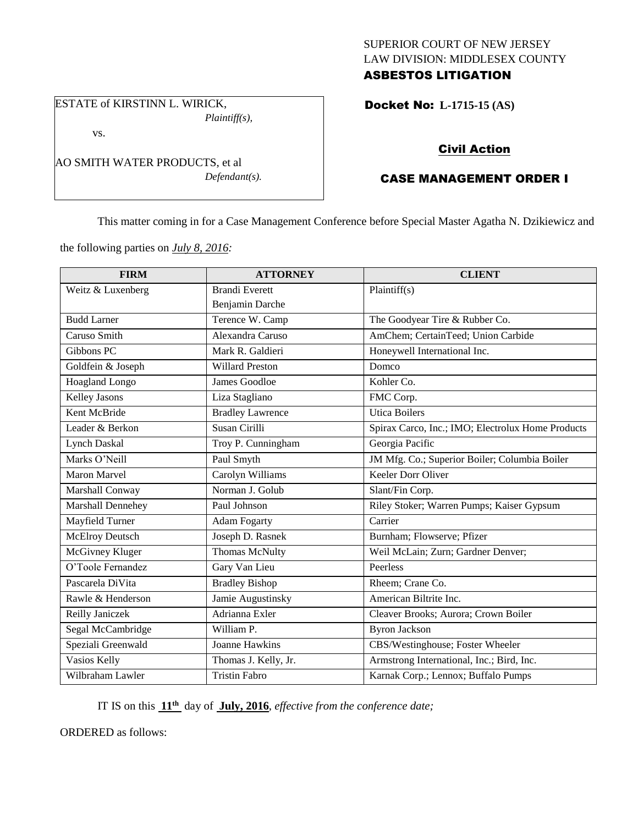# SUPERIOR COURT OF NEW JERSEY LAW DIVISION: MIDDLESEX COUNTY

# ASBESTOS LITIGATION

ESTATE of KIRSTINN L. WIRICK, *Plaintiff(s),*

vs.

AO SMITH WATER PRODUCTS, et al *Defendant(s).* Docket No: **L-1715-15 (AS)** 

## Civil Action

## CASE MANAGEMENT ORDER I

This matter coming in for a Case Management Conference before Special Master Agatha N. Dzikiewicz and

the following parties on *July 8, 2016:*

| <b>FIRM</b>            | <b>ATTORNEY</b>         | <b>CLIENT</b>                                     |
|------------------------|-------------------------|---------------------------------------------------|
| Weitz & Luxenberg      | <b>Brandi Everett</b>   | Plaintiff(s)                                      |
|                        | Benjamin Darche         |                                                   |
| <b>Budd Larner</b>     | Terence W. Camp         | The Goodyear Tire & Rubber Co.                    |
| Caruso Smith           | Alexandra Caruso        | AmChem; CertainTeed; Union Carbide                |
| Gibbons PC             | Mark R. Galdieri        | Honeywell International Inc.                      |
| Goldfein & Joseph      | <b>Willard Preston</b>  | Domco                                             |
| Hoagland Longo         | James Goodloe           | Kohler Co.                                        |
| <b>Kelley Jasons</b>   | Liza Stagliano          | FMC Corp.                                         |
| Kent McBride           | <b>Bradley Lawrence</b> | <b>Utica Boilers</b>                              |
| Leader & Berkon        | Susan Cirilli           | Spirax Carco, Inc.; IMO; Electrolux Home Products |
| <b>Lynch Daskal</b>    | Troy P. Cunningham      | Georgia Pacific                                   |
| Marks O'Neill          | Paul Smyth              | JM Mfg. Co.; Superior Boiler; Columbia Boiler     |
| <b>Maron Marvel</b>    | Carolyn Williams        | Keeler Dorr Oliver                                |
| Marshall Conway        | Norman J. Golub         | Slant/Fin Corp.                                   |
| Marshall Dennehey      | Paul Johnson            | Riley Stoker; Warren Pumps; Kaiser Gypsum         |
| Mayfield Turner        | <b>Adam Fogarty</b>     | Carrier                                           |
| <b>McElroy Deutsch</b> | Joseph D. Rasnek        | Burnham; Flowserve; Pfizer                        |
| McGivney Kluger        | Thomas McNulty          | Weil McLain; Zurn; Gardner Denver;                |
| O'Toole Fernandez      | Gary Van Lieu           | Peerless                                          |
| Pascarela DiVita       | <b>Bradley Bishop</b>   | Rheem; Crane Co.                                  |
| Rawle & Henderson      | Jamie Augustinsky       | American Biltrite Inc.                            |
| Reilly Janiczek        | Adrianna Exler          | Cleaver Brooks; Aurora; Crown Boiler              |
| Segal McCambridge      | William P.              | <b>Byron Jackson</b>                              |
| Speziali Greenwald     | <b>Joanne Hawkins</b>   | CBS/Westinghouse; Foster Wheeler                  |
| Vasios Kelly           | Thomas J. Kelly, Jr.    | Armstrong International, Inc.; Bird, Inc.         |
| Wilbraham Lawler       | <b>Tristin Fabro</b>    | Karnak Corp.; Lennox; Buffalo Pumps               |

IT IS on this **11th** day of **July, 2016**, *effective from the conference date;*

ORDERED as follows: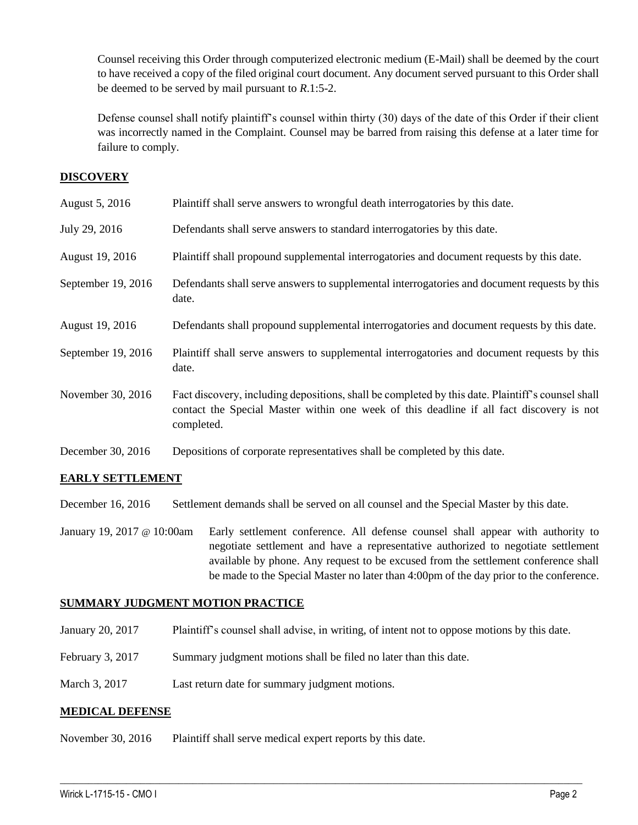Counsel receiving this Order through computerized electronic medium (E-Mail) shall be deemed by the court to have received a copy of the filed original court document. Any document served pursuant to this Order shall be deemed to be served by mail pursuant to *R*.1:5-2.

Defense counsel shall notify plaintiff's counsel within thirty (30) days of the date of this Order if their client was incorrectly named in the Complaint. Counsel may be barred from raising this defense at a later time for failure to comply.

## **DISCOVERY**

| August 5, 2016     | Plaintiff shall serve answers to wrongful death interrogatories by this date.                                                                                                                               |
|--------------------|-------------------------------------------------------------------------------------------------------------------------------------------------------------------------------------------------------------|
| July 29, 2016      | Defendants shall serve answers to standard interrogatories by this date.                                                                                                                                    |
| August 19, 2016    | Plaintiff shall propound supplemental interrogatories and document requests by this date.                                                                                                                   |
| September 19, 2016 | Defendants shall serve answers to supplemental interrogatories and document requests by this<br>date.                                                                                                       |
| August 19, 2016    | Defendants shall propound supplemental interrogatories and document requests by this date.                                                                                                                  |
| September 19, 2016 | Plaintiff shall serve answers to supplemental interrogatories and document requests by this<br>date.                                                                                                        |
| November 30, 2016  | Fact discovery, including depositions, shall be completed by this date. Plaintiff's counsel shall<br>contact the Special Master within one week of this deadline if all fact discovery is not<br>completed. |
| December 30, 2016  | Depositions of corporate representatives shall be completed by this date.                                                                                                                                   |

## **EARLY SETTLEMENT**

December 16, 2016 Settlement demands shall be served on all counsel and the Special Master by this date.

January 19, 2017 @ 10:00am Early settlement conference. All defense counsel shall appear with authority to negotiate settlement and have a representative authorized to negotiate settlement available by phone. Any request to be excused from the settlement conference shall be made to the Special Master no later than 4:00pm of the day prior to the conference.

#### **SUMMARY JUDGMENT MOTION PRACTICE**

January 20, 2017 Plaintiff's counsel shall advise, in writing, of intent not to oppose motions by this date.

 $\_$  , and the set of the set of the set of the set of the set of the set of the set of the set of the set of the set of the set of the set of the set of the set of the set of the set of the set of the set of the set of th

- February 3, 2017 Summary judgment motions shall be filed no later than this date.
- March 3, 2017 Last return date for summary judgment motions.

#### **MEDICAL DEFENSE**

November 30, 2016 Plaintiff shall serve medical expert reports by this date.